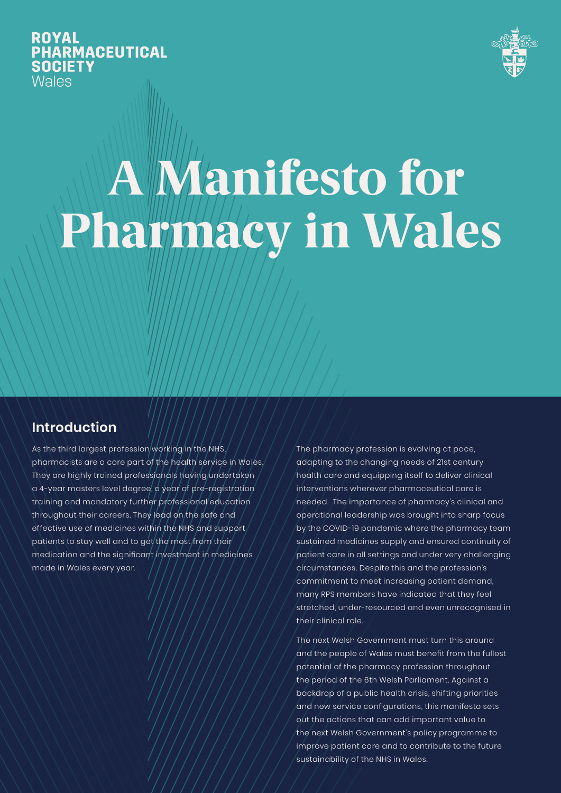**ROYAL PHARMACEUTICAL SOCIETY Wales** 



# A Manifesto for Pharmacy in Wales

### **Introduction**

As the third largest profession working in the NHS, pharmacists are a core part of the health service in Wales. They are highly trained professionals having undertaken a 4-year masters level degree, a year of pre-registration training and mandatory further professional education throughout their careers. They lead on the safe and effective use of medicines within the NHS and support patients to stay well and to get the most from their medication and the significant investment in medicines made in Wales every year.

The pharmacy profession is evolving at pace, adapting to the changing needs of 21st century health care and equipping itself to deliver clinical interventions wherever pharmaceutical care is needed. The importance of pharmacy's clinical and operational leadership was brought into sharp focus by the COVID-19 pandemic where the pharmacy team sustained medicines supply and ensured continuity of patient care in all settings and under very challenging circumstances. Despite this and the profession's commitment to meet increasing patient demand, many RPS members have indicated that they feel stretched, under-resourced and even unrecognised in their clinical role.

The next Welsh Government must turn this around and the people of Wales must benefit from the fullest potential of the pharmacy profession throughout the period of the 6th Welsh Parliament. Against a backdrop of a public health crisis, shifting priorities and new service configurations, this manifesto sets out the actions that can add important value to the next Welsh Government's policy programme to improve patient care and to contribute to the future sustainability of the NHS in Wales.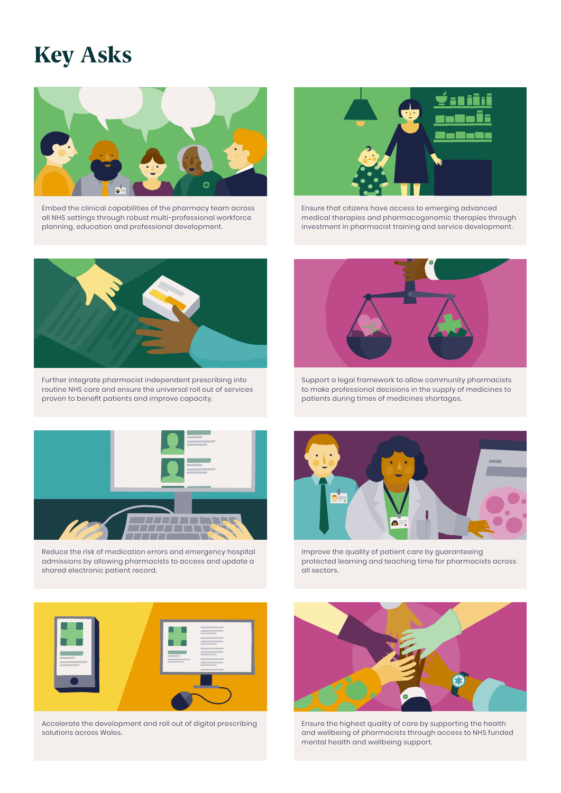## Key Asks



Embed the clinical capabilities of the pharmacy team across all NHS settings through robust multi-professional workforce planning, education and professional development.



Ensure that citizens have access to emerging advanced medical therapies and pharmacogenomic therapies through investment in pharmacist training and service development.



Further integrate pharmacist independent prescribing into routine NHS care and ensure the universal roll out of services proven to benefit patients and improve capacity.



Support a legal framework to allow community pharmacists to make professional decisions in the supply of medicines to patients during times of medicines shortages.



Reduce the risk of medication errors and emergency hospital admissions by allowing pharmacists to access and update a shared electronic patient record.



Improve the quality of patient care by guaranteeing protected learning and teaching time for pharmacists across all sectors.



Accelerate the development and roll out of digital prescribing solutions across Wales.



Ensure the highest quality of care by supporting the health and wellbeing of pharmacists through access to NHS funded mental health and wellbeing support.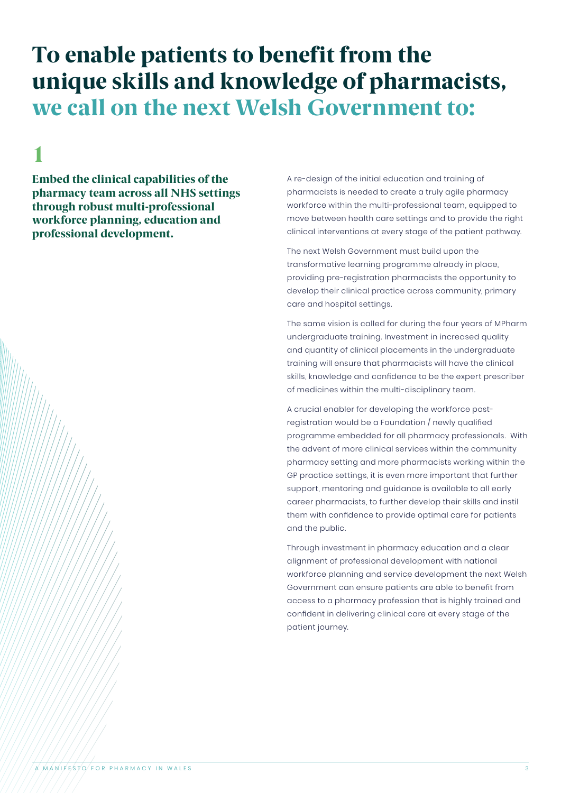## 1

Embed the clinical capabilities of the pharmacy team across all NHS settings through robust multi-professional workforce planning, education and professional development.

A re-design of the initial education and training of pharmacists is needed to create a truly agile pharmacy workforce within the multi-professional team, equipped to move between health care settings and to provide the right clinical interventions at every stage of the patient pathway.

The next Welsh Government must build upon the transformative learning programme already in place, providing pre-registration pharmacists the opportunity to develop their clinical practice across community, primary care and hospital settings.

The same vision is called for during the four years of MPharm undergraduate training. Investment in increased quality and quantity of clinical placements in the undergraduate training will ensure that pharmacists will have the clinical skills, knowledge and confidence to be the expert prescriber of medicines within the multi-disciplinary team.

A crucial enabler for developing the workforce postregistration would be a Foundation / newly qualified programme embedded for all pharmacy professionals. With the advent of more clinical services within the community pharmacy setting and more pharmacists working within the GP practice settings, it is even more important that further support, mentoring and guidance is available to all early career pharmacists, to further develop their skills and instil them with confidence to provide optimal care for patients and the public.

Through investment in pharmacy education and a clear alignment of professional development with national workforce planning and service development the next Welsh Government can ensure patients are able to benefit from access to a pharmacy profession that is highly trained and confident in delivering clinical care at every stage of the patient journey.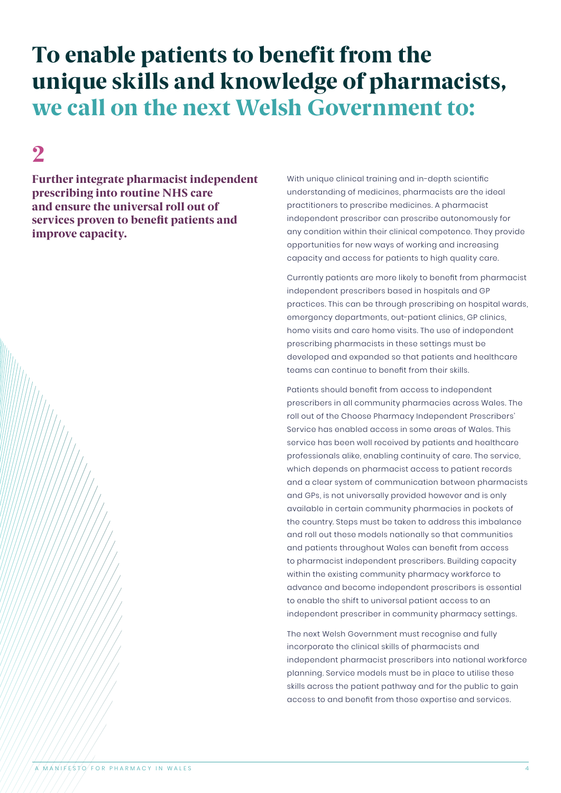## 2

Further integrate pharmacist independent prescribing into routine NHS care and ensure the universal roll out of services proven to benefit patients and improve capacity.

With unique clinical training and in-depth scientific understanding of medicines, pharmacists are the ideal practitioners to prescribe medicines. A pharmacist independent prescriber can prescribe autonomously for any condition within their clinical competence. They provide opportunities for new ways of working and increasing capacity and access for patients to high quality care.

Currently patients are more likely to benefit from pharmacist independent prescribers based in hospitals and GP practices. This can be through prescribing on hospital wards, emergency departments, out-patient clinics, GP clinics, home visits and care home visits. The use of independent prescribing pharmacists in these settings must be developed and expanded so that patients and healthcare teams can continue to benefit from their skills.

Patients should benefit from access to independent prescribers in all community pharmacies across Wales. The roll out of the Choose Pharmacy Independent Prescribers' Service has enabled access in some areas of Wales. This service has been well received by patients and healthcare professionals alike, enabling continuity of care. The service, which depends on pharmacist access to patient records and a clear system of communication between pharmacists and GPs, is not universally provided however and is only available in certain community pharmacies in pockets of the country. Steps must be taken to address this imbalance and roll out these models nationally so that communities and patients throughout Wales can benefit from access to pharmacist independent prescribers. Building capacity within the existing community pharmacy workforce to advance and become independent prescribers is essential to enable the shift to universal patient access to an independent prescriber in community pharmacy settings.

The next Welsh Government must recognise and fully incorporate the clinical skills of pharmacists and independent pharmacist prescribers into national workforce planning. Service models must be in place to utilise these skills across the patient pathway and for the public to gain access to and benefit from those expertise and services.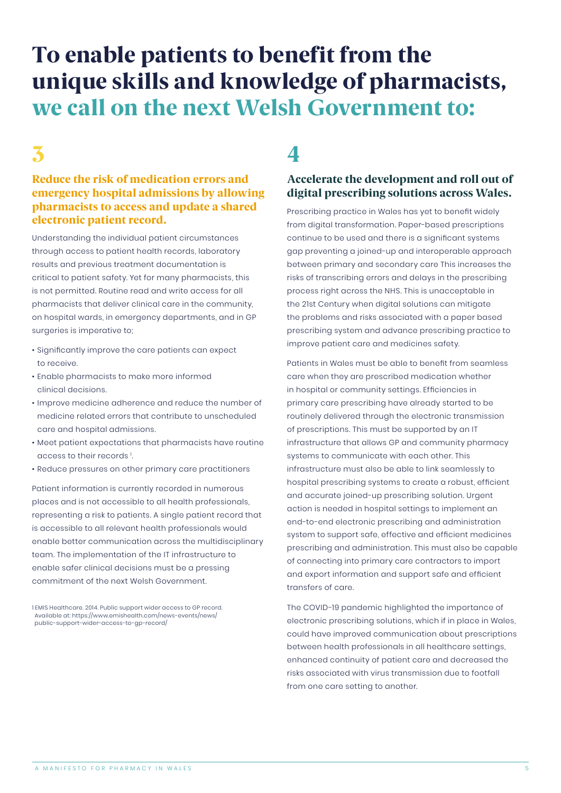## $\overline{\mathbf{3}}$  4

#### Reduce the risk of medication errors and emergency hospital admissions by allowing pharmacists to access and update a shared electronic patient record.

Understanding the individual patient circumstances through access to patient health records, laboratory results and previous treatment documentation is critical to patient safety. Yet for many pharmacists, this is not permitted. Routine read and write access for all pharmacists that deliver clinical care in the community, on hospital wards, in emergency departments, and in GP surgeries is imperative to;

- Significantly improve the care patients can expect to receive.
- Enable pharmacists to make more informed clinical decisions.
- Improve medicine adherence and reduce the number of medicine related errors that contribute to unscheduled care and hospital admissions.
- Meet patient expectations that pharmacists have routine access to their records<sup>1</sup>. .
- Reduce pressures on other primary care practitioners

Patient information is currently recorded in numerous places and is not accessible to all health professionals, representing a risk to patients. A single patient record that is accessible to all relevant health professionals would enable better communication across the multidisciplinary team. The implementation of the IT infrastructure to enable safer clinical decisions must be a pressing commitment of the next Welsh Government.

#### Accelerate the development and roll out of digital prescribing solutions across Wales.

Prescribing practice in Wales has yet to benefit widely from digital transformation. Paper-based prescriptions continue to be used and there is a significant systems gap preventing a joined-up and interoperable approach between primary and secondary care This increases the risks of transcribing errors and delays in the prescribing process right across the NHS. This is unacceptable in the 21st Century when digital solutions can mitigate the problems and risks associated with a paper based prescribing system and advance prescribing practice to improve patient care and medicines safety.

Patients in Wales must be able to benefit from seamless care when they are prescribed medication whether in hospital or community settings. Efficiencies in primary care prescribing have already started to be routinely delivered through the electronic transmission of prescriptions. This must be supported by an IT infrastructure that allows GP and community pharmacy systems to communicate with each other. This infrastructure must also be able to link seamlessly to hospital prescribing systems to create a robust, efficient and accurate joined-up prescribing solution. Urgent action is needed in hospital settings to implement an end-to-end electronic prescribing and administration system to support safe, effective and efficient medicines prescribing and administration. This must also be capable of connecting into primary care contractors to import and export information and support safe and efficient transfers of care.

The COVID-19 pandemic highlighted the importance of electronic prescribing solutions, which if in place in Wales, could have improved communication about prescriptions between health professionals in all healthcare settings, enhanced continuity of patient care and decreased the risks associated with virus transmission due to footfall from one care setting to another.

<sup>1</sup> EMIS Healthcare. 2014. Public support wider access to GP record. Available at: https://www.emishealth.com/news-events/news/ public-support-wider-access-to-gp-record/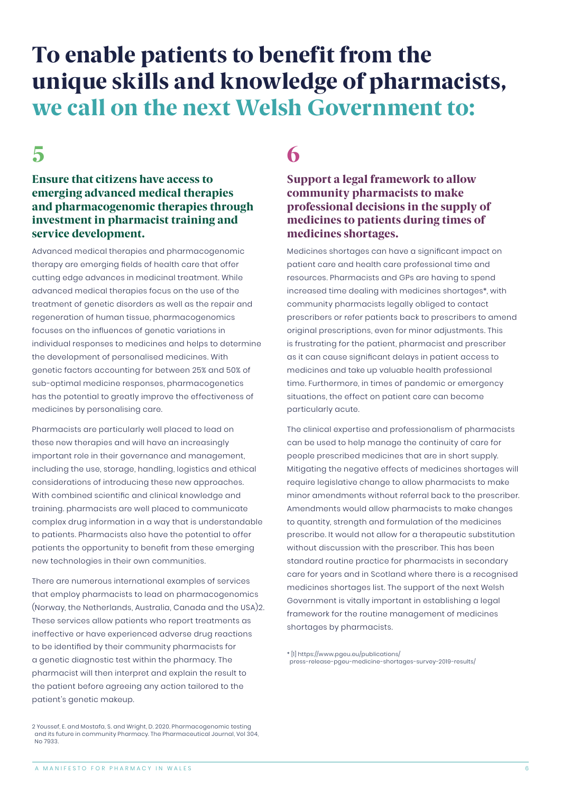## $5$  6

#### Ensure that citizens have access to emerging advanced medical therapies and pharmacogenomic therapies through investment in pharmacist training and service development.

Advanced medical therapies and pharmacogenomic therapy are emerging fields of health care that offer cutting edge advances in medicinal treatment. While advanced medical therapies focus on the use of the treatment of genetic disorders as well as the repair and regeneration of human tissue, pharmacogenomics focuses on the influences of genetic variations in individual responses to medicines and helps to determine the development of personalised medicines. With genetic factors accounting for between 25% and 50% of sub-optimal medicine responses, pharmacogenetics has the potential to greatly improve the effectiveness of medicines by personalising care.

Pharmacists are particularly well placed to lead on these new therapies and will have an increasingly important role in their governance and management, including the use, storage, handling, logistics and ethical considerations of introducing these new approaches. With combined scientific and clinical knowledge and training. pharmacists are well placed to communicate complex drug information in a way that is understandable to patients. Pharmacists also have the potential to offer patients the opportunity to benefit from these emerging new technologies in their own communities.

There are numerous international examples of services that employ pharmacists to lead on pharmacogenomics (Norway, the Netherlands, Australia, Canada and the USA)2. These services allow patients who report treatments as ineffective or have experienced adverse drug reactions to be identified by their community pharmacists for a genetic diagnostic test within the pharmacy. The pharmacist will then interpret and explain the result to the patient before agreeing any action tailored to the patient's genetic makeup.

#### Support a legal framework to allow community pharmacists to make professional decisions in the supply of medicines to patients during times of medicines shortages.

Medicines shortages can have a significant impact on patient care and health care professional time and resources. Pharmacists and GPs are having to spend increased time dealing with medicines shortages\*, with community pharmacists legally obliged to contact prescribers or refer patients back to prescribers to amend original prescriptions, even for minor adjustments. This is frustrating for the patient, pharmacist and prescriber as it can cause significant delays in patient access to medicines and take up valuable health professional time. Furthermore, in times of pandemic or emergency situations, the effect on patient care can become particularly acute.

The clinical expertise and professionalism of pharmacists can be used to help manage the continuity of care for people prescribed medicines that are in short supply. Mitigating the negative effects of medicines shortages will require legislative change to allow pharmacists to make minor amendments without referral back to the prescriber. Amendments would allow pharmacists to make changes to quantity, strength and formulation of the medicines prescribe. It would not allow for a therapeutic substitution without discussion with the prescriber. This has been standard routine practice for pharmacists in secondary care for years and in Scotland where there is a recognised medicines shortages list. The support of the next Welsh Government is vitally important in establishing a legal framework for the routine management of medicines shortages by pharmacists.

\* [1] https://www.pgeu.eu/publications/ press-release-pgeu-medicine-shortages-survey-2019-results/

<sup>2</sup> Youssef, E. and Mostafa, S. and Wright, D. 2020. Pharmacogenomic testing and its future in community Pharmacy. The Pharmaceutical Journal, Vol 304, No 7933.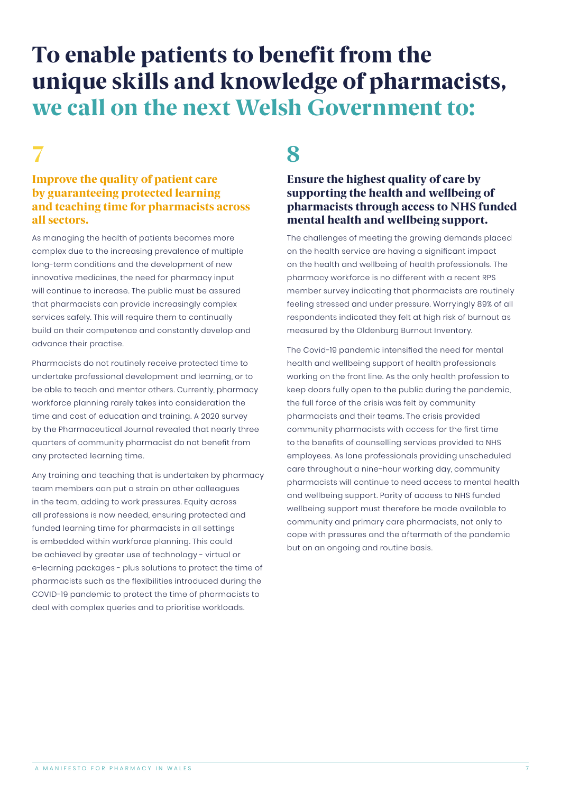#### Improve the quality of patient care by guaranteeing protected learning and teaching time for pharmacists across all sectors.

As managing the health of patients becomes more complex due to the increasing prevalence of multiple long-term conditions and the development of new innovative medicines, the need for pharmacy input will continue to increase. The public must be assured that pharmacists can provide increasingly complex services safely. This will require them to continually build on their competence and constantly develop and advance their practise.

Pharmacists do not routinely receive protected time to undertake professional development and learning, or to be able to teach and mentor others. Currently, pharmacy workforce planning rarely takes into consideration the time and cost of education and training. A 2020 survey by the Pharmaceutical Journal revealed that nearly three quarters of community pharmacist do not benefit from any protected learning time.

Any training and teaching that is undertaken by pharmacy team members can put a strain on other colleagues in the team, adding to work pressures. Equity across all professions is now needed, ensuring protected and funded learning time for pharmacists in all settings is embedded within workforce planning. This could be achieved by greater use of technology - virtual or e-learning packages - plus solutions to protect the time of pharmacists such as the flexibilities introduced during the COVID-19 pandemic to protect the time of pharmacists to deal with complex queries and to prioritise workloads.

## 7 8

#### Ensure the highest quality of care by supporting the health and wellbeing of pharmacists through access to NHS funded mental health and wellbeing support.

The challenges of meeting the growing demands placed on the health service are having a significant impact on the health and wellbeing of health professionals. The pharmacy workforce is no different with a recent RPS member survey indicating that pharmacists are routinely feeling stressed and under pressure. Worryingly 89% of all respondents indicated they felt at high risk of burnout as measured by the Oldenburg Burnout Inventory.

The Covid-19 pandemic intensified the need for mental health and wellbeing support of health professionals working on the front line. As the only health profession to keep doors fully open to the public during the pandemic, the full force of the crisis was felt by community pharmacists and their teams. The crisis provided community pharmacists with access for the first time to the benefits of counselling services provided to NHS employees. As lone professionals providing unscheduled care throughout a nine-hour working day, community pharmacists will continue to need access to mental health and wellbeing support. Parity of access to NHS funded wellbeing support must therefore be made available to community and primary care pharmacists, not only to cope with pressures and the aftermath of the pandemic but on an ongoing and routine basis.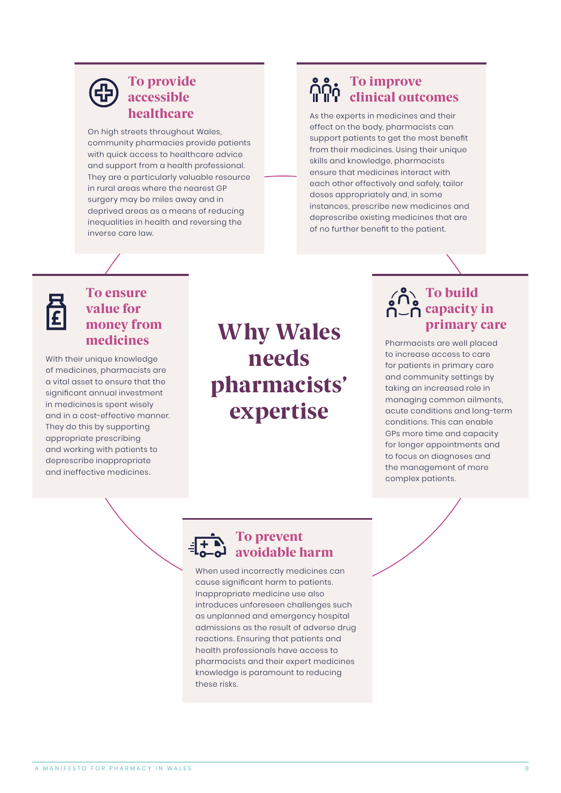#### To provide accessible healthcare

On high streets throughout Wales, community pharmacies provide patients with quick access to healthcare advice and support from a health professional. They are a particularly valuable resource in rural areas where the nearest GP surgery may be miles away and in deprived areas as a means of reducing inequalities in health and reversing the inverse care law.

### To improve clinical outcomes

As the experts in medicines and their effect on the body, pharmacists can support patients to get the most benefit from their medicines. Using their unique skills and knowledge, pharmacists ensure that medicines interact with each other effectively and safely, tailor doses appropriately and, in some instances, prescribe new medicines and deprescribe existing medicines that are of no further benefit to the patient.



#### To ensure value for money from medicines

With their unique knowledge of medicines, pharmacists are a vital asset to ensure that the significant annual investment in medicines is spent wisely and in a cost-effective manner. They do this by supporting appropriate prescribing and working with patients to deprescribe inappropriate and ineffective medicines.

Why Wales needs pharmacists' expertise

## To build capacity in primary care

Pharmacists are well placed to increase access to care for patients in primary care and community settings by taking an increased role in managing common ailments, acute conditions and long-term conditions. This can enable GPs more time and capacity for longer appointments and to focus on diagnoses and the management of more complex patients.

### To prevent avoidable harm

When used incorrectly medicines can cause significant harm to patients. Inappropriate medicine use also introduces unforeseen challenges such as unplanned and emergency hospital admissions as the result of adverse drug reactions. Ensuring that patients and health professionals have access to pharmacists and their expert medicines knowledge is paramount to reducing these risks.